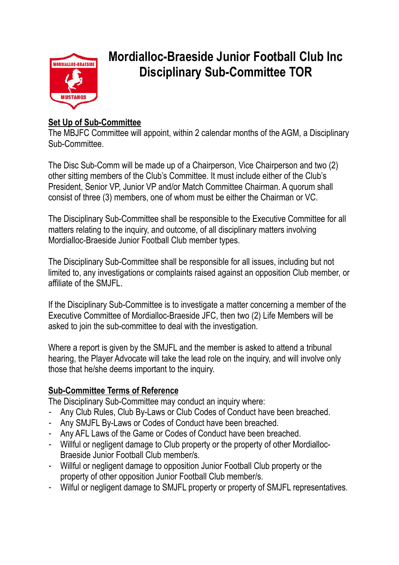

# **Mordialloc-Braeside Junior Football Club Inc Disciplinary Sub-Committee TOR**

# **Set Up of Sub-Committee**

The MBJFC Committee will appoint, within 2 calendar months of the AGM, a Disciplinary Sub-Committee.

The Disc Sub-Comm will be made up of a Chairperson, Vice Chairperson and two (2) other sitting members of the Club's Committee. It must include either of the Club's President, Senior VP, Junior VP and/or Match Committee Chairman. A quorum shall consist of three (3) members, one of whom must be either the Chairman or VC.

The Disciplinary Sub-Committee shall be responsible to the Executive Committee for all matters relating to the inquiry, and outcome, of all disciplinary matters involving Mordialloc-Braeside Junior Football Club member types.

The Disciplinary Sub-Committee shall be responsible for all issues, including but not limited to, any investigations or complaints raised against an opposition Club member, or affiliate of the SMJFL.

If the Disciplinary Sub-Committee is to investigate a matter concerning a member of the Executive Committee of Mordialloc-Braeside JFC, then two (2) Life Members will be asked to join the sub-committee to deal with the investigation.

Where a report is given by the SMJFL and the member is asked to attend a tribunal hearing, the Player Advocate will take the lead role on the inquiry, and will involve only those that he/she deems important to the inquiry.

## **Sub-Committee Terms of Reference**

The Disciplinary Sub-Committee may conduct an inquiry where:

- Any Club Rules, Club By-Laws or Club Codes of Conduct have been breached.
- Any SMJFL By-Laws or Codes of Conduct have been breached.
- Any AFL Laws of the Game or Codes of Conduct have been breached.
- Willful or negligent damage to Club property or the property of other Mordialloc-Braeside Junior Football Club member/s.
- Willful or negligent damage to opposition Junior Football Club property or the property of other opposition Junior Football Club member/s.
- Wilful or negligent damage to SMJFL property or property of SMJFL representatives.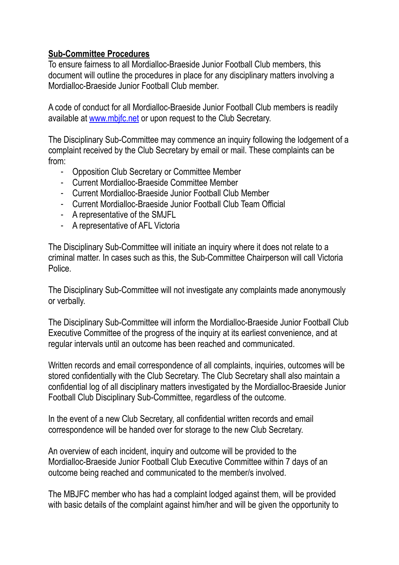#### **Sub-Committee Procedures**

To ensure fairness to all Mordialloc-Braeside Junior Football Club members, this document will outline the procedures in place for any disciplinary matters involving a Mordialloc-Braeside Junior Football Club member.

A code of conduct for all Mordialloc-Braeside Junior Football Club members is readily available at [www.mbjfc.net](http://www.mbjfc.net) or upon request to the Club Secretary.

The Disciplinary Sub-Committee may commence an inquiry following the lodgement of a complaint received by the Club Secretary by email or mail. These complaints can be from:

- Opposition Club Secretary or Committee Member
- Current Mordialloc-Braeside Committee Member
- Current Mordialloc-Braeside Junior Football Club Member
- Current Mordialloc-Braeside Junior Football Club Team Official
- A representative of the SMJFL
- A representative of AFL Victoria

The Disciplinary Sub-Committee will initiate an inquiry where it does not relate to a criminal matter. In cases such as this, the Sub-Committee Chairperson will call Victoria Police.

The Disciplinary Sub-Committee will not investigate any complaints made anonymously or verbally.

The Disciplinary Sub-Committee will inform the Mordialloc-Braeside Junior Football Club Executive Committee of the progress of the inquiry at its earliest convenience, and at regular intervals until an outcome has been reached and communicated.

Written records and email correspondence of all complaints, inquiries, outcomes will be stored confidentially with the Club Secretary. The Club Secretary shall also maintain a confidential log of all disciplinary matters investigated by the Mordialloc-Braeside Junior Football Club Disciplinary Sub-Committee, regardless of the outcome.

In the event of a new Club Secretary, all confidential written records and email correspondence will be handed over for storage to the new Club Secretary.

An overview of each incident, inquiry and outcome will be provided to the Mordialloc-Braeside Junior Football Club Executive Committee within 7 days of an outcome being reached and communicated to the member/s involved.

The MBJFC member who has had a complaint lodged against them, will be provided with basic details of the complaint against him/her and will be given the opportunity to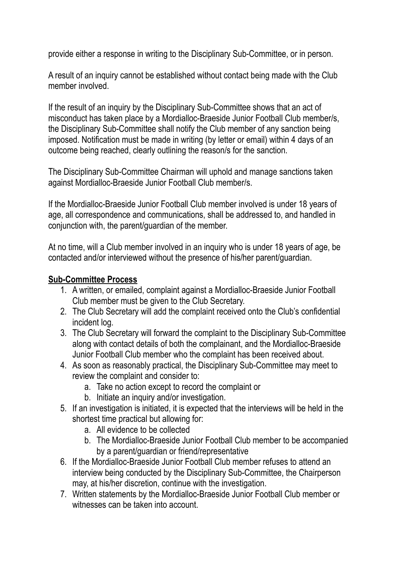provide either a response in writing to the Disciplinary Sub-Committee, or in person.

A result of an inquiry cannot be established without contact being made with the Club member involved.

If the result of an inquiry by the Disciplinary Sub-Committee shows that an act of misconduct has taken place by a Mordialloc-Braeside Junior Football Club member/s, the Disciplinary Sub-Committee shall notify the Club member of any sanction being imposed. Notification must be made in writing (by letter or email) within 4 days of an outcome being reached, clearly outlining the reason/s for the sanction.

The Disciplinary Sub-Committee Chairman will uphold and manage sanctions taken against Mordialloc-Braeside Junior Football Club member/s.

If the Mordialloc-Braeside Junior Football Club member involved is under 18 years of age, all correspondence and communications, shall be addressed to, and handled in conjunction with, the parent/guardian of the member.

At no time, will a Club member involved in an inquiry who is under 18 years of age, be contacted and/or interviewed without the presence of his/her parent/guardian.

# **Sub-Committee Process**

- 1. A written, or emailed, complaint against a Mordialloc-Braeside Junior Football Club member must be given to the Club Secretary.
- 2. The Club Secretary will add the complaint received onto the Club's confidential incident log.
- 3. The Club Secretary will forward the complaint to the Disciplinary Sub-Committee along with contact details of both the complainant, and the Mordialloc-Braeside Junior Football Club member who the complaint has been received about.
- 4. As soon as reasonably practical, the Disciplinary Sub-Committee may meet to review the complaint and consider to:
	- a. Take no action except to record the complaint or
	- b. Initiate an inquiry and/or investigation.
- 5. If an investigation is initiated, it is expected that the interviews will be held in the shortest time practical but allowing for:
	- a. All evidence to be collected
	- b. The Mordialloc-Braeside Junior Football Club member to be accompanied by a parent/guardian or friend/representative
- 6. If the Mordialloc-Braeside Junior Football Club member refuses to attend an interview being conducted by the Disciplinary Sub-Committee, the Chairperson may, at his/her discretion, continue with the investigation.
- 7. Written statements by the Mordialloc-Braeside Junior Football Club member or witnesses can be taken into account.